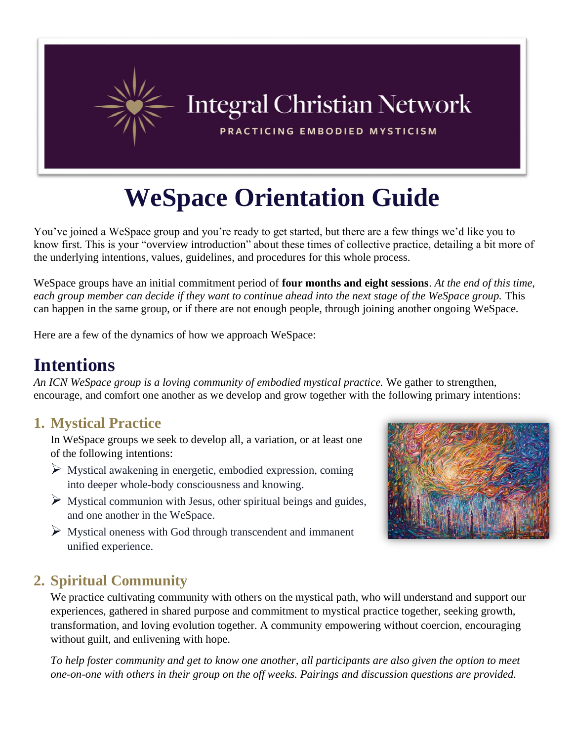

# **WeSpace Orientation Guide**

You've joined a WeSpace group and you're ready to get started, but there are a few things we'd like you to know first. This is your "overview introduction" about these times of collective practice, detailing a bit more of the underlying intentions, values, guidelines, and procedures for this whole process.

WeSpace groups have an initial commitment period of **four months and eight sessions**. *At the end of this time, each group member can decide if they want to continue ahead into the next stage of the WeSpace group.* This can happen in the same group, or if there are not enough people, through joining another ongoing WeSpace.

Here are a few of the dynamics of how we approach WeSpace:

### **Intentions**

*An ICN WeSpace group is a loving community of embodied mystical practice.* We gather to strengthen, encourage, and comfort one another as we develop and grow together with the following primary intentions:

#### **1. Mystical Practice**

In WeSpace groups we seek to develop all, a variation, or at least one of the following intentions:

- Mystical awakening in energetic, embodied expression, coming into deeper whole-body consciousness and knowing.
- $\triangleright$  Mystical communion with Jesus, other spiritual beings and guides, and one another in the WeSpace.
- $\triangleright$  Mystical oneness with God through transcendent and immanent unified experience.



#### **2. Spiritual Community**

We practice cultivating community with others on the mystical path, who will understand and support our experiences, gathered in shared purpose and commitment to mystical practice together, seeking growth, transformation, and loving evolution together. A community empowering without coercion, encouraging without guilt, and enlivening with hope.

*To help foster community and get to know one another, all participants are also given the option to meet one-on-one with others in their group on the off weeks. Pairings and discussion questions are provided.*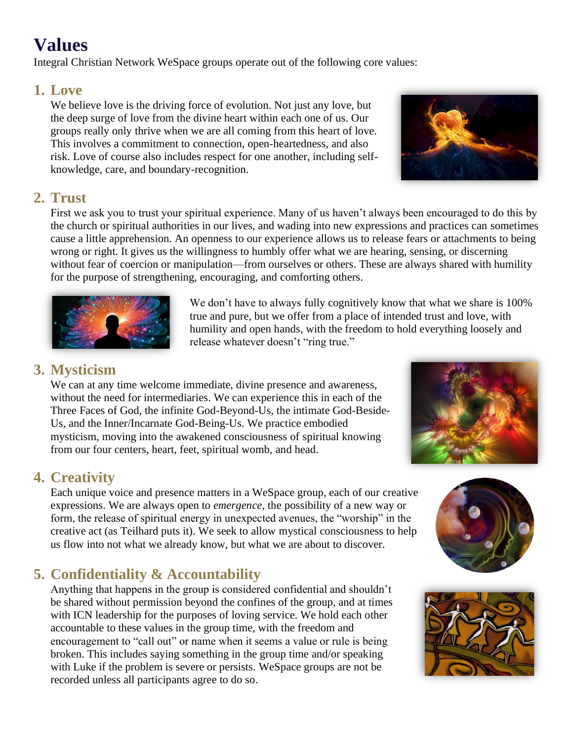### **Values**

Integral Christian Network WeSpace groups operate out of the following core values:

#### **1. Love**

We believe love is the driving force of evolution. Not just any love, but the deep surge of love from the divine heart within each one of us. Our groups really only thrive when we are all coming from this heart of love. This involves a commitment to connection, open-heartedness, and also risk. Love of course also includes respect for one another, including selfknowledge, care, and boundary-recognition.



#### **2. Trust**

First we ask you to trust your spiritual experience. Many of us haven't always been encouraged to do this by the church or spiritual authorities in our lives, and wading into new expressions and practices can sometimes cause a little apprehension. An openness to our experience allows us to release fears or attachments to being wrong or right. It gives us the willingness to humbly offer what we are hearing, sensing, or discerning without fear of coercion or manipulation—from ourselves or others. These are always shared with humility for the purpose of strengthening, encouraging, and comforting others.



We don't have to always fully cognitively know that what we share is 100% true and pure, but we offer from a place of intended trust and love, with humility and open hands, with the freedom to hold everything loosely and release whatever doesn't "ring true."

#### **3. Mysticism**

We can at any time welcome immediate, divine presence and awareness, without the need for intermediaries. We can experience this in each of the Three Faces of God, the infinite God-Beyond-Us, the intimate God-Beside-Us, and the Inner/Incarnate God-Being-Us. We practice embodied mysticism, moving into the awakened consciousness of spiritual knowing from our four centers, heart, feet, spiritual womb, and head.



#### **4. Creativity**

Each unique voice and presence matters in a WeSpace group, each of our creative expressions. We are always open to *emergence*, the possibility of a new way or form, the release of spiritual energy in unexpected avenues, the "worship" in the creative act (as Teilhard puts it). We seek to allow mystical consciousness to help us flow into not what we already know, but what we are about to discover.

#### **5. Confidentiality & Accountability**

Anything that happens in the group is considered confidential and shouldn't be shared without permission beyond the confines of the group, and at times with ICN leadership for the purposes of loving service. We hold each other accountable to these values in the group time, with the freedom and encouragement to "call out" or name when it seems a value or rule is being broken. This includes saying something in the group time and/or speaking with Luke if the problem is severe or persists. WeSpace groups are not be recorded unless all participants agree to do so.